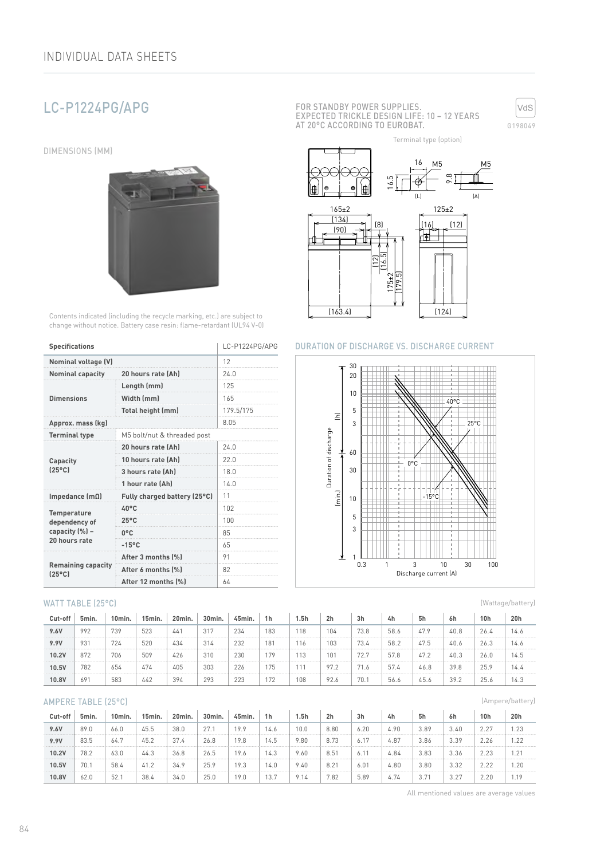# LC-P1224PG/APG

DIMENSIONS (MM)



Contents indicated (including the recycle marking, etc.) are subject to change without notice. Battery case resin: flame-retardant (UL94 V-0)

| <b>Specifications</b>                        | LC-P1224PG/APG               |           |  |  |
|----------------------------------------------|------------------------------|-----------|--|--|
| <b>Nominal voltage (V)</b>                   | 12                           |           |  |  |
| <b>Nominal capacity</b>                      | 20 hours rate (Ah)           | 24.0      |  |  |
|                                              | Length (mm)                  | 125       |  |  |
| <b>Dimensions</b>                            | Width (mm)                   | 165       |  |  |
|                                              | Total height (mm)            | 179.5/175 |  |  |
| Approx. mass (kg)                            |                              | 8.05      |  |  |
| <b>Terminal type</b>                         |                              |           |  |  |
|                                              | 20 hours rate (Ah)           | 24.0      |  |  |
| Capacity                                     | 10 hours rate (Ah)           | 22.0      |  |  |
| $[25^{\circ}C]$                              | 3 hours rate (Ah)            | 18.0      |  |  |
|                                              | 1 hour rate (Ah)             | 14.0      |  |  |
| Impedance $(m\Omega)$                        | Fully charged battery (25°C) | 11        |  |  |
| <b>Temperature</b>                           | $40^{\circ}$ C               | 102       |  |  |
| dependency of                                | $25^{\circ}$ C               | 100       |  |  |
| capacity (%) -                               | $0^{\circ}$ C                | 85        |  |  |
| 20 hours rate                                | $-15^{\circ}$ C              | 65        |  |  |
|                                              | After 3 months (%)           | 91        |  |  |
| <b>Remaining capacity</b><br>$(25^{\circ}C)$ | After 6 months (%)           | 82        |  |  |
|                                              | After 12 months (%)          | 64        |  |  |

#### WATT TABLE (25°C)

| Cut-off | 5min. | 10min. | 15min. | 20min. | 30min. | 45min. | 1 <sub>h</sub> | l.5h | 2 <sub>h</sub> | 3h   | 4h   | 5h   | 6h   | 10h  | 20h  |
|---------|-------|--------|--------|--------|--------|--------|----------------|------|----------------|------|------|------|------|------|------|
| 9.6V    | 992   | 739    | 523    | 441    | 317    | 234    | 183            | 118  | 104            | 73.8 | 58.6 | 47.9 | 40.8 | 26.4 | 14.6 |
| 9.9V    | 931   | 724    | 520    | 434    | 314    | 232    | 181            | 16   | 103            | 73.4 | 58.2 | 47.5 | 40.6 | 26.3 | 14.6 |
| 10.2V   | 872   | 706    | 509    | 426    | 310    | 230    | 179            |      | 101            | 72.7 | 57.8 | 47.2 | 40.3 | 26.0 | 14.5 |
| 10.5V   | 782   | 654    | 474    | 405    | 303    | 226    | 175            |      | 97.2           | 71.6 | 57.4 | 46.8 | 39.8 | 25.9 | 14.4 |
| 10.8V   | 691   | 583    | 442    | 394    | 293    | 223    | 172            | 108  | 92.6           | 70.  | 56.6 | 45.6 | 39.2 | 25.6 | 14.3 |

#### AMPERE TABLE (25°C)

| Cut-off | 5min. | Omin. | 15min. | 20min. | 30 <sub>min</sub> | 45min. | 1 <sub>h</sub> | 5h   | 2 <sub>h</sub> | 3h               | 4h   | 5h            | 6h   | 10h  | 20h  |
|---------|-------|-------|--------|--------|-------------------|--------|----------------|------|----------------|------------------|------|---------------|------|------|------|
| 9.6V    | 89.0  | 66.0  | 45.5   | 38.0   | 27.1              | 19.9   | 14.6           | 10.0 | 8.80           | 6.20             | 4.90 | 3.89          | 3.40 | 2.27 | 1.23 |
| 9.9V    | 83.5  | 64.7  | 45.2   | 37.4   | 26.8              | 19.8   | 14.5           | 9.80 | 8.73           | 6.1              | 4.87 | 3.86          | 3.39 | 2.26 | 1.22 |
| 10.2V   | 78.2  | 63.0  | 44.3   | 36.8   | 26.5              | 19.6   | 14.3           | .60  | 8.51           | 6. 1             | 4.84 | 3.83          | 3.36 | 2.23 | 1.21 |
| 10.5V   | 70.7  | 58.4  | 41.2   | 34.9   | 25.9              | 19.3   | 4.0            | : 40 | 8.21           | 6.0 <sup>1</sup> | 4.80 | 3.80          | 3.32 | 2.22 | 1.20 |
| 10.8V   | 62.0  | 52.   | 38.4   | 34.0   | 25.0              | 19.0   | 13.7           | -14  | 7.82           | 5.89             | 4.74 | $3.7^{\circ}$ | 3.27 | 2.20 | 1.19 |

FOR STANDBY POWER SUPPLIES. EXPECTED TRICKLE DESIGN LIFE: 10 – 12 YEARS AT 20°C ACCORDING TO EUROBAT.



Terminal type (option)



#### DURATION OF DISCHARGE VS. DISCHARGE CURRENT

 $(163.4)$   $(124)$ 



(Wattage/battery)

(Ampere/battery)

All mentioned values are average values